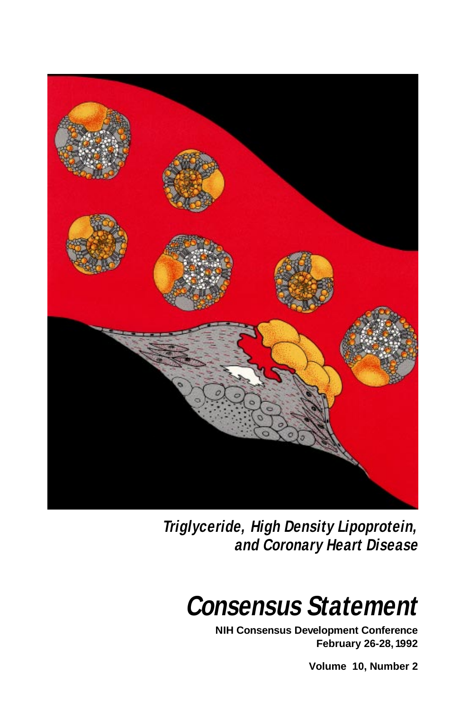

**Triglyceride, High Density Lipoprotein, and Coronary Heart Disease** 

# **Consensus Statement**

**NIH Consensus Development Conference February 26-28, 1992** 

**Volume 10, Number 2**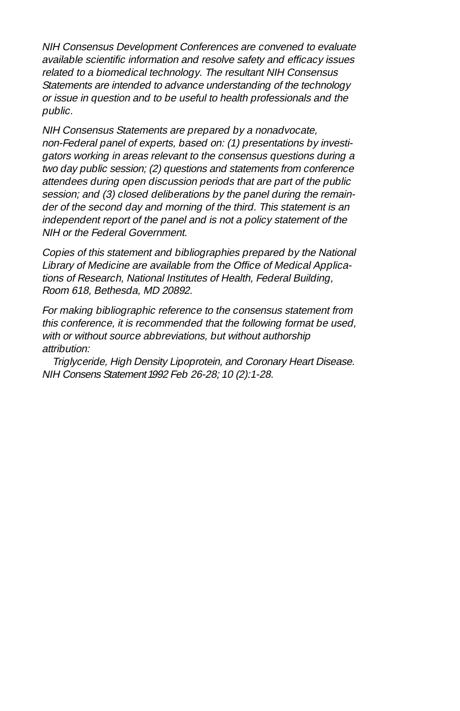NIH Consensus Development Conferences are convened to evaluate available scientific information and resolve safety and efficacy issues related to a biomedical technology. The resultant NIH Consensus Statements are intended to advance understanding of the technology or issue in question and to be useful to health professionals and the public.

NIH Consensus Statements are prepared by a nonadvocate, non-Federal panel of experts, based on: (1) presentations by investigators working in areas relevant to the consensus questions during a two day public session; (2) questions and statements from conference attendees during open discussion periods that are part of the public session; and (3) closed deliberations by the panel during the remainder of the second day and morning of the third. This statement is an independent report of the panel and is not a policy statement of the NIH or the Federal Government.

Copies of this statement and bibliographies prepared by the National Library of Medicine are available from the Office of Medical Applications of Research, National Institutes of Health, Federal Building, Room 618, Bethesda, MD 20892.

For making bibliographic reference to the consensus statement from this conference, it is recommended that the following format be used, with or without source abbreviations, but without authorship attribution:

Triglyceride, High Density Lipoprotein, and Coronary Heart Disease. NIH Consens Statement 1992 Feb 26-28; 10 (2):1-28.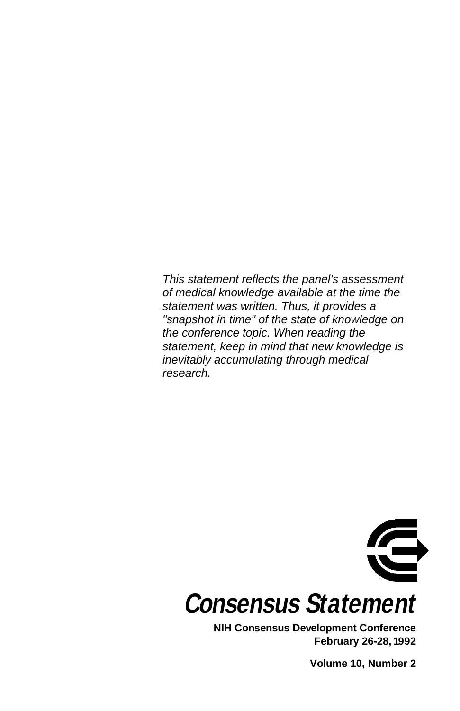This statement reflects the panel's assessment of medical knowledge available at the time the statement was written. Thus, it provides a "snapshot in time" of the state of knowledge on the conference topic. When reading the statement, keep in mind that new knowledge is inevitably accumulating through medical research.



**NIH Consensus Development Conference February 26-28, 1992** 

**Volume 10, Number 2**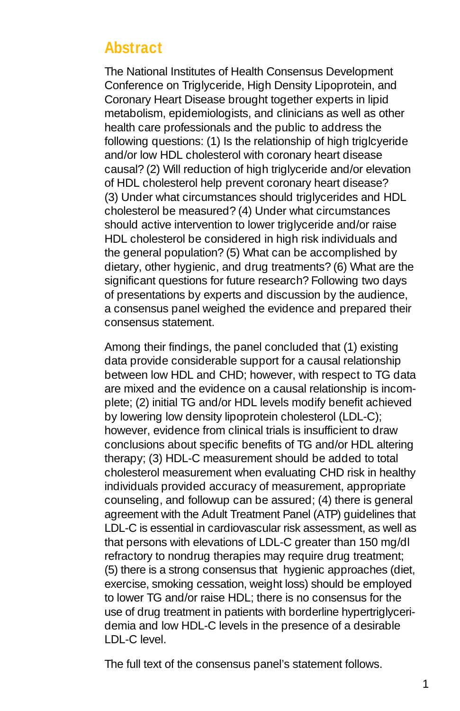# **Abstract**

The National Institutes of Health Consensus Development Conference on Triglyceride, High Density Lipoprotein, and Coronary Heart Disease brought together experts in lipid metabolism, epidemiologists, and clinicians as well as other health care professionals and the public to address the following questions: (1) Is the relationship of high triglcyeride and/or low HDL cholesterol with coronary heart disease causal? (2) Will reduction of high triglyceride and/or elevation of HDL cholesterol help prevent coronary heart disease? (3) Under what circumstances should triglycerides and HDL cholesterol be measured? (4) Under what circumstances should active intervention to lower triglyceride and/or raise HDL cholesterol be considered in high risk individuals and the general population? (5) What can be accomplished by dietary, other hygienic, and drug treatments? (6) What are the significant questions for future research? Following two days of presentations by experts and discussion by the audience, a consensus panel weighed the evidence and prepared their consensus statement.

Among their findings, the panel concluded that (1) existing data provide considerable support for a causal relationship between low HDL and CHD; however, with respect to TG data are mixed and the evidence on a causal relationship is incomplete; (2) initial TG and/or HDL levels modify benefit achieved by lowering low density lipoprotein cholesterol (LDL-C); however, evidence from clinical trials is insufficient to draw conclusions about specific benefits of TG and/or HDL altering therapy; (3) HDL-C measurement should be added to total cholesterol measurement when evaluating CHD risk in healthy individuals provided accuracy of measurement, appropriate counseling, and followup can be assured; (4) there is general agreement with the Adult Treatment Panel (ATP) guidelines that LDL-C is essential in cardiovascular risk assessment, as well as that persons with elevations of LDL-C greater than 150 mg/dl refractory to nondrug therapies may require drug treatment; (5) there is a strong consensus that hygienic approaches (diet, exercise, smoking cessation, weight loss) should be employed to lower TG and/or raise HDL; there is no consensus for the use of drug treatment in patients with borderline hypertriglyceridemia and low HDL-C levels in the presence of a desirable LDL-C level.

The full text of the consensus panel's statement follows.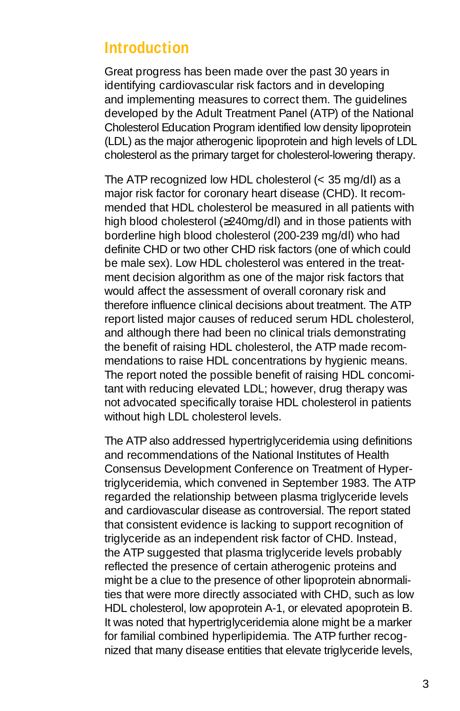# **Introduction**

Great progress has been made over the past 30 years in identifying cardiovascular risk factors and in developing and implementing measures to correct them. The guidelines developed by the Adult Treatment Panel (ATP) of the National Cholesterol Education Program identified low density lipoprotein (LDL) as the major atherogenic lipoprotein and high levels of LDL cholesterol as the primary target for cholesterol-lowering therapy.

The ATP recognized low HDL cholesterol (< 35 mg/dl) as a major risk factor for coronary heart disease (CHD). It recommended that HDL cholesterol be measured in all patients with high blood cholesterol (≥ 240mg/dl) and in those patients with borderline high blood cholesterol (200-239 mg/dl) who had definite CHD or two other CHD risk factors (one of which could be male sex). Low HDL cholesterol was entered in the treatment decision algorithm as one of the major risk factors that would affect the assessment of overall coronary risk and therefore influence clinical decisions about treatment. The ATP report listed major causes of reduced serum HDL cholesterol, and although there had been no clinical trials demonstrating the benefit of raising HDL cholesterol, the ATP made recommendations to raise HDL concentrations by hygienic means. The report noted the possible benefit of raising HDL concomitant with reducing elevated LDL; however, drug therapy was not advocated specifically toraise HDL cholesterol in patients without high LDL cholesterol levels.

The ATP also addressed hypertriglyceridemia using definitions and recommendations of the National Institutes of Health Consensus Development Conference on Treatment of Hypertriglyceridemia, which convened in September 1983. The ATP regarded the relationship between plasma triglyceride levels and cardiovascular disease as controversial. The report stated that consistent evidence is lacking to support recognition of triglyceride as an independent risk factor of CHD. Instead, the ATP suggested that plasma triglyceride levels probably reflected the presence of certain atherogenic proteins and might be a clue to the presence of other lipoprotein abnormalities that were more directly associated with CHD, such as low HDL cholesterol, low apoprotein A-1, or elevated apoprotein B. It was noted that hypertriglyceridemia alone might be a marker for familial combined hyperlipidemia. The ATP further recognized that many disease entities that elevate triglyceride levels,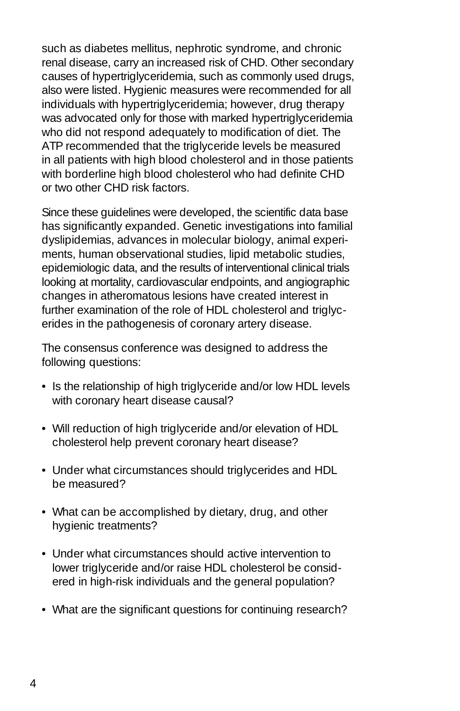such as diabetes mellitus, nephrotic syndrome, and chronic renal disease, carry an increased risk of CHD. Other secondary causes of hypertriglyceridemia, such as commonly used drugs, also were listed. Hygienic measures were recommended for all individuals with hypertriglyceridemia; however, drug therapy was advocated only for those with marked hypertriglyceridemia who did not respond adequately to modification of diet. The ATP recommended that the triglyceride levels be measured in all patients with high blood cholesterol and in those patients with borderline high blood cholesterol who had definite CHD or two other CHD risk factors.

Since these guidelines were developed, the scientific data base has significantly expanded. Genetic investigations into familial dyslipidemias, advances in molecular biology, animal experiments, human observational studies, lipid metabolic studies, epidemiologic data, and the results of interventional clinical trials looking at mortality, cardiovascular endpoints, and angiographic changes in atheromatous lesions have created interest in further examination of the role of HDL cholesterol and triglycerides in the pathogenesis of coronary artery disease.

The consensus conference was designed to address the following questions:

- Is the relationship of high triglyceride and/or low HDL levels with coronary heart disease causal?
- Will reduction of high triglyceride and/or elevation of HDL cholesterol help prevent coronary heart disease?
- Under what circumstances should triglycerides and HDL be measured?
- What can be accomplished by dietary, drug, and other hygienic treatments?
- Under what circumstances should active intervention to lower triglyceride and/or raise HDL cholesterol be considered in high-risk individuals and the general population?
- What are the significant questions for continuing research?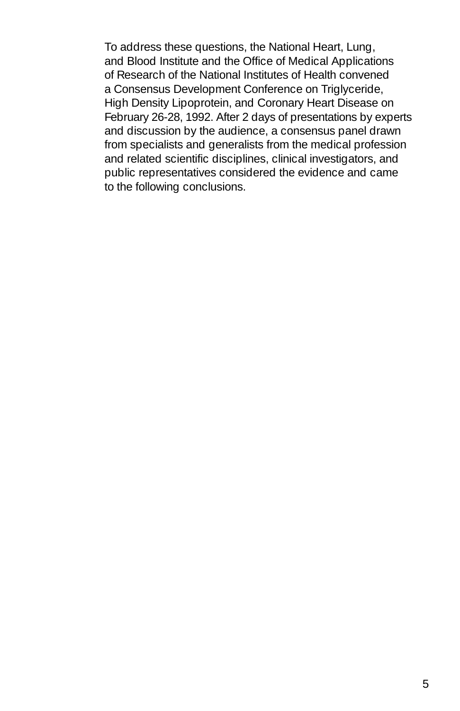To address these questions, the National Heart, Lung, and Blood Institute and the Office of Medical Applications of Research of the National Institutes of Health convened a Consensus Development Conference on Triglyceride, High Density Lipoprotein, and Coronary Heart Disease on February 26-28, 1992. After 2 days of presentations by experts and discussion by the audience, a consensus panel drawn from specialists and generalists from the medical profession and related scientific disciplines, clinical investigators, and public representatives considered the evidence and came to the following conclusions.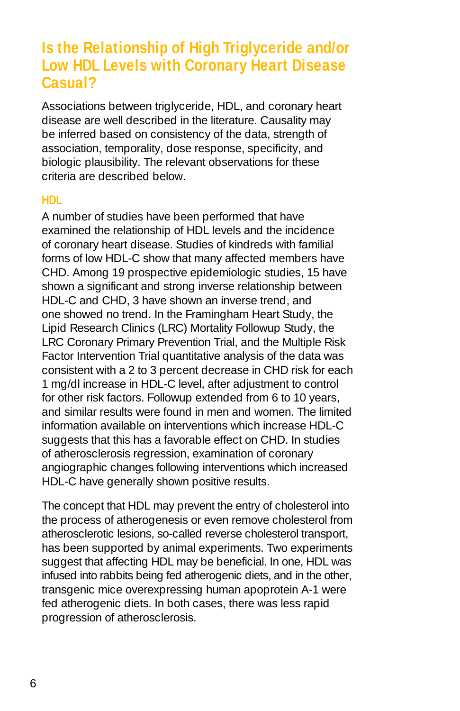# **Is the Relationship of High Triglyceride and/or Low HDL Levels with Coronary Heart Disease Casual?**

Associations between triglyceride, HDL, and coronary heart disease are well described in the literature. Causality may be inferred based on consistency of the data, strength of association, temporality, dose response, specificity, and biologic plausibility. The relevant observations for these criteria are described below.

# **HDL**

A number of studies have been performed that have examined the relationship of HDL levels and the incidence of coronary heart disease. Studies of kindreds with familial forms of low HDL-C show that many affected members have CHD. Among 19 prospective epidemiologic studies, 15 have shown a significant and strong inverse relationship between HDL-C and CHD, 3 have shown an inverse trend, and one showed no trend. In the Framingham Heart Study, the Lipid Research Clinics (LRC) Mortality Followup Study, the LRC Coronary Primary Prevention Trial, and the Multiple Risk Factor Intervention Trial quantitative analysis of the data was consistent with a 2 to 3 percent decrease in CHD risk for each 1 mg/dl increase in HDL-C level, after adjustment to control for other risk factors. Followup extended from 6 to 10 years, and similar results were found in men and women. The limited information available on interventions which increase HDL-C suggests that this has a favorable effect on CHD. In studies of atherosclerosis regression, examination of coronary angiographic changes following interventions which increased HDL-C have generally shown positive results.

The concept that HDL may prevent the entry of cholesterol into the process of atherogenesis or even remove cholesterol from atherosclerotic lesions, so-called reverse cholesterol transport, has been supported by animal experiments. Two experiments suggest that affecting HDL may be beneficial. In one, HDL was infused into rabbits being fed atherogenic diets, and in the other, transgenic mice overexpressing human apoprotein A-1 were fed atherogenic diets. In both cases, there was less rapid progression of atherosclerosis.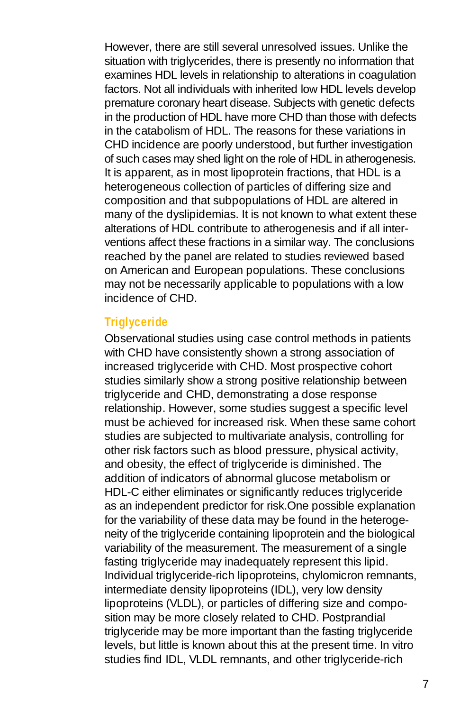However, there are still several unresolved issues. Unlike the situation with triglycerides, there is presently no information that examines HDL levels in relationship to alterations in coagulation factors. Not all individuals with inherited low HDL levels develop premature coronary heart disease. Subjects with genetic defects in the production of HDL have more CHD than those with defects in the catabolism of HDL. The reasons for these variations in CHD incidence are poorly understood, but further investigation of such cases may shed light on the role of HDL in atherogenesis. It is apparent, as in most lipoprotein fractions, that HDL is a heterogeneous collection of particles of differing size and composition and that subpopulations of HDL are altered in many of the dyslipidemias. It is not known to what extent these alterations of HDL contribute to atherogenesis and if all interventions affect these fractions in a similar way. The conclusions reached by the panel are related to studies reviewed based on American and European populations. These conclusions may not be necessarily applicable to populations with a low incidence of CHD.

# **Triglyceride**

Observational studies using case control methods in patients with CHD have consistently shown a strong association of increased triglyceride with CHD. Most prospective cohort studies similarly show a strong positive relationship between triglyceride and CHD, demonstrating a dose response relationship. However, some studies suggest a specific level must be achieved for increased risk. When these same cohort studies are subjected to multivariate analysis, controlling for other risk factors such as blood pressure, physical activity, and obesity, the effect of triglyceride is diminished. The addition of indicators of abnormal glucose metabolism or HDL-C either eliminates or significantly reduces triglyceride as an independent predictor for risk.One possible explanation for the variability of these data may be found in the heterogeneity of the triglyceride containing lipoprotein and the biological variability of the measurement. The measurement of a single fasting triglyceride may inadequately represent this lipid. Individual triglyceride-rich lipoproteins, chylomicron remnants, intermediate density lipoproteins (IDL), very low density lipoproteins (VLDL), or particles of differing size and composition may be more closely related to CHD. Postprandial triglyceride may be more important than the fasting triglyceride levels, but little is known about this at the present time. In vitro studies find IDL, VLDL remnants, and other triglyceride-rich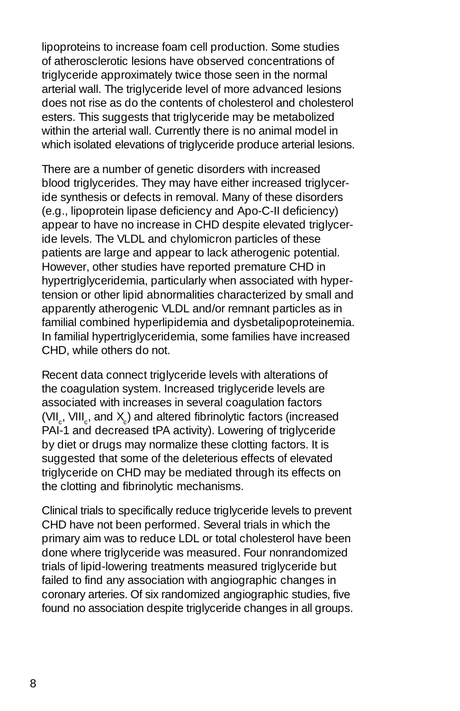lipoproteins to increase foam cell production. Some studies of atherosclerotic lesions have observed concentrations of triglyceride approximately twice those seen in the normal arterial wall. The triglyceride level of more advanced lesions does not rise as do the contents of cholesterol and cholesterol esters. This suggests that triglyceride may be metabolized within the arterial wall. Currently there is no animal model in which isolated elevations of triglyceride produce arterial lesions.

There are a number of genetic disorders with increased blood triglycerides. They may have either increased triglyceride synthesis or defects in removal. Many of these disorders (e.g., lipoprotein lipase deficiency and Apo-C-II deficiency) appear to have no increase in CHD despite elevated triglyceride levels. The VLDL and chylomicron particles of these patients are large and appear to lack atherogenic potential. However, other studies have reported premature CHD in hypertriglyceridemia, particularly when associated with hypertension or other lipid abnormalities characterized by small and apparently atherogenic VLDL and/or remnant particles as in familial combined hyperlipidemia and dysbetalipoproteinemia. In familial hypertriglyceridemia, some families have increased CHD, while others do not.

Recent data connect triglyceride levels with alterations of the coagulation system. Increased triglyceride levels are associated with increases in several coagulation factors (VII<sub>c</sub>, VIII<sub>c</sub>, and X<sub>c</sub>) and altered fibrinolytic factors (increased PAI-1 and decreased tPA activity). Lowering of triglyceride by diet or drugs may normalize these clotting factors. It is suggested that some of the deleterious effects of elevated triglyceride on CHD may be mediated through its effects on the clotting and fibrinolytic mechanisms.

Clinical trials to specifically reduce triglyceride levels to prevent CHD have not been performed. Several trials in which the primary aim was to reduce LDL or total cholesterol have been done where triglyceride was measured. Four nonrandomized trials of lipid-lowering treatments measured triglyceride but failed to find any association with angiographic changes in coronary arteries. Of six randomized angiographic studies, five found no association despite triglyceride changes in all groups.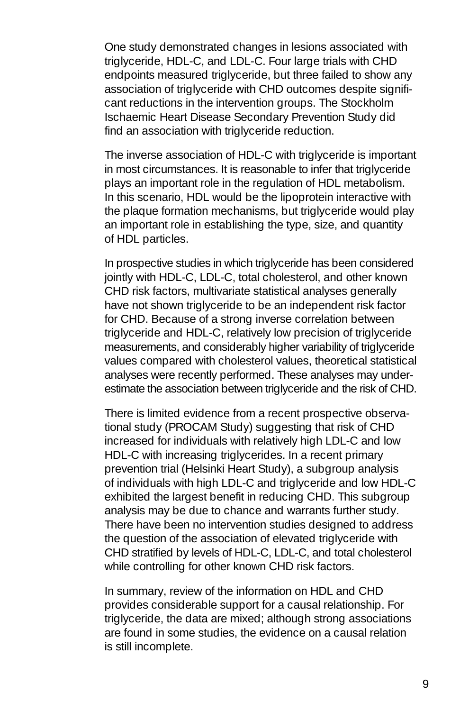One study demonstrated changes in lesions associated with triglyceride, HDL-C, and LDL-C. Four large trials with CHD endpoints measured triglyceride, but three failed to show any association of triglyceride with CHD outcomes despite significant reductions in the intervention groups. The Stockholm Ischaemic Heart Disease Secondary Prevention Study did find an association with triglyceride reduction.

The inverse association of HDL-C with triglyceride is important in most circumstances. It is reasonable to infer that triglyceride plays an important role in the regulation of HDL metabolism. In this scenario, HDL would be the lipoprotein interactive with the plaque formation mechanisms, but triglyceride would play an important role in establishing the type, size, and quantity of HDL particles.

In prospective studies in which triglyceride has been considered jointly with HDL-C, LDL-C, total cholesterol, and other known CHD risk factors, multivariate statistical analyses generally have not shown triglyceride to be an independent risk factor for CHD. Because of a strong inverse correlation between triglyceride and HDL-C, relatively low precision of triglyceride measurements, and considerably higher variability of triglyceride values compared with cholesterol values, theoretical statistical analyses were recently performed. These analyses may underestimate the association between triglyceride and the risk of CHD.

There is limited evidence from a recent prospective observational study (PROCAM Study) suggesting that risk of CHD increased for individuals with relatively high LDL-C and low HDL-C with increasing triglycerides. In a recent primary prevention trial (Helsinki Heart Study), a subgroup analysis of individuals with high LDL-C and triglyceride and low HDL-C exhibited the largest benefit in reducing CHD. This subgroup analysis may be due to chance and warrants further study. There have been no intervention studies designed to address the question of the association of elevated triglyceride with CHD stratified by levels of HDL-C, LDL-C, and total cholesterol while controlling for other known CHD risk factors.

In summary, review of the information on HDL and CHD provides considerable support for a causal relationship. For triglyceride, the data are mixed; although strong associations are found in some studies, the evidence on a causal relation is still incomplete.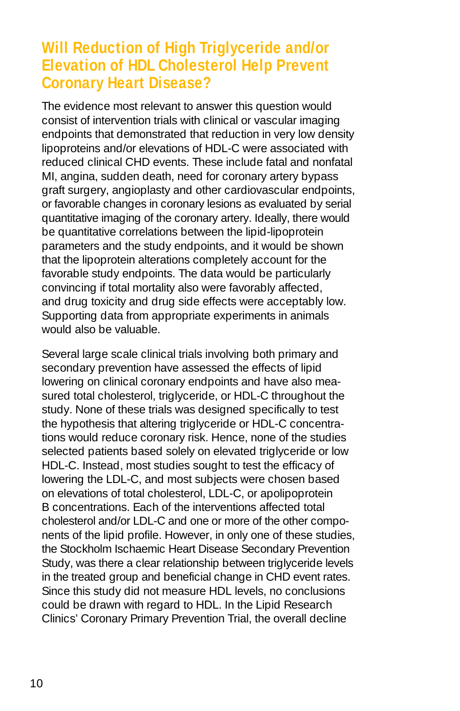# **Will Reduction of High Triglyceride and/or Elevation of HDL Cholesterol Help Prevent Coronary Heart Disease?**

The evidence most relevant to answer this question would consist of intervention trials with clinical or vascular imaging endpoints that demonstrated that reduction in very low density lipoproteins and/or elevations of HDL-C were associated with reduced clinical CHD events. These include fatal and nonfatal MI, angina, sudden death, need for coronary artery bypass graft surgery, angioplasty and other cardiovascular endpoints, or favorable changes in coronary lesions as evaluated by serial quantitative imaging of the coronary artery. Ideally, there would be quantitative correlations between the lipid-lipoprotein parameters and the study endpoints, and it would be shown that the lipoprotein alterations completely account for the favorable study endpoints. The data would be particularly convincing if total mortality also were favorably affected, and drug toxicity and drug side effects were acceptably low. Supporting data from appropriate experiments in animals would also be valuable.

Several large scale clinical trials involving both primary and secondary prevention have assessed the effects of lipid lowering on clinical coronary endpoints and have also measured total cholesterol, triglyceride, or HDL-C throughout the study. None of these trials was designed specifically to test the hypothesis that altering triglyceride or HDL-C concentrations would reduce coronary risk. Hence, none of the studies selected patients based solely on elevated triglyceride or low HDL-C. Instead, most studies sought to test the efficacy of lowering the LDL-C, and most subjects were chosen based on elevations of total cholesterol, LDL-C, or apolipoprotein B concentrations. Each of the interventions affected total cholesterol and/or LDL-C and one or more of the other components of the lipid profile. However, in only one of these studies, the Stockholm Ischaemic Heart Disease Secondary Prevention Study, was there a clear relationship between triglyceride levels in the treated group and beneficial change in CHD event rates. Since this study did not measure HDL levels, no conclusions could be drawn with regard to HDL. In the Lipid Research Clinics' Coronary Primary Prevention Trial, the overall decline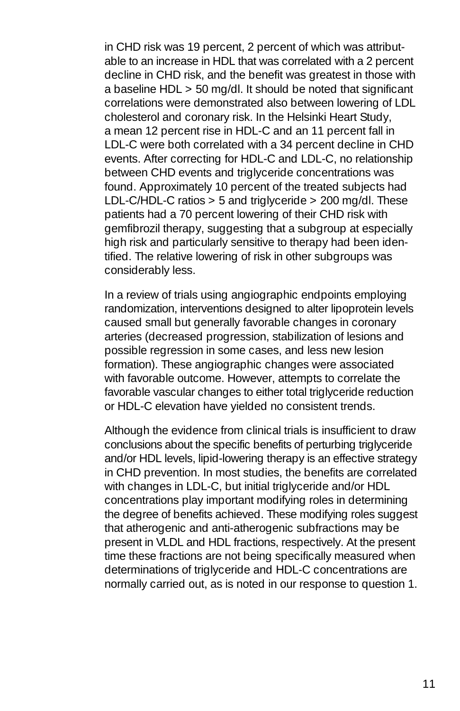in CHD risk was 19 percent, 2 percent of which was attributable to an increase in HDL that was correlated with a 2 percent decline in CHD risk, and the benefit was greatest in those with a baseline HDL > 50 mg/dl. It should be noted that significant correlations were demonstrated also between lowering of LDL cholesterol and coronary risk. In the Helsinki Heart Study, a mean 12 percent rise in HDL-C and an 11 percent fall in LDL-C were both correlated with a 34 percent decline in CHD events. After correcting for HDL-C and LDL-C, no relationship between CHD events and triglyceride concentrations was found. Approximately 10 percent of the treated subjects had LDL-C/HDL-C ratios > 5 and triglyceride > 200 mg/dl. These patients had a 70 percent lowering of their CHD risk with gemfibrozil therapy, suggesting that a subgroup at especially high risk and particularly sensitive to therapy had been identified. The relative lowering of risk in other subgroups was considerably less.

In a review of trials using angiographic endpoints employing randomization, interventions designed to alter lipoprotein levels caused small but generally favorable changes in coronary arteries (decreased progression, stabilization of lesions and possible regression in some cases, and less new lesion formation). These angiographic changes were associated with favorable outcome. However, attempts to correlate the favorable vascular changes to either total triglyceride reduction or HDL-C elevation have yielded no consistent trends.

Although the evidence from clinical trials is insufficient to draw conclusions about the specific benefits of perturbing triglyceride and/or HDL levels, lipid-lowering therapy is an effective strategy in CHD prevention. In most studies, the benefits are correlated with changes in LDL-C, but initial triglyceride and/or HDL concentrations play important modifying roles in determining the degree of benefits achieved. These modifying roles suggest that atherogenic and anti-atherogenic subfractions may be present in VLDL and HDL fractions, respectively. At the present time these fractions are not being specifically measured when determinations of triglyceride and HDL-C concentrations are normally carried out, as is noted in our response to question 1.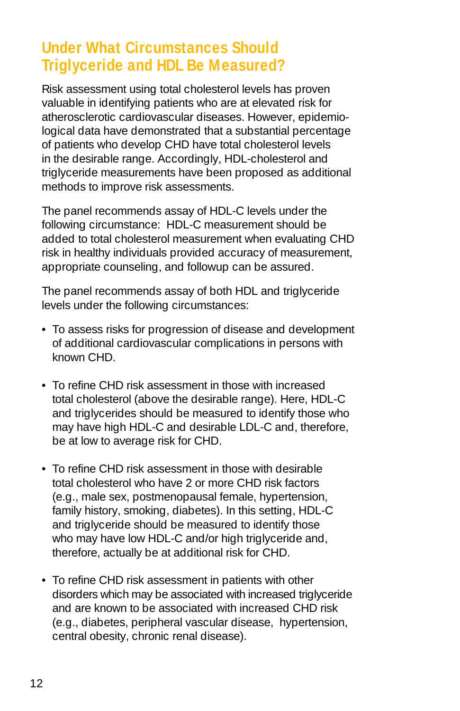# **Under What Circumstances Should Triglyceride and HDL Be Measured?**

Risk assessment using total cholesterol levels has proven valuable in identifying patients who are at elevated risk for atherosclerotic cardiovascular diseases. However, epidemiological data have demonstrated that a substantial percentage of patients who develop CHD have total cholesterol levels in the desirable range. Accordingly, HDL-cholesterol and triglyceride measurements have been proposed as additional methods to improve risk assessments.

The panel recommends assay of HDL-C levels under the following circumstance: HDL-C measurement should be added to total cholesterol measurement when evaluating CHD risk in healthy individuals provided accuracy of measurement, appropriate counseling, and followup can be assured.

The panel recommends assay of both HDL and triglyceride levels under the following circumstances:

- To assess risks for progression of disease and development of additional cardiovascular complications in persons with known CHD.
- To refine CHD risk assessment in those with increased total cholesterol (above the desirable range). Here, HDL-C and triglycerides should be measured to identify those who may have high HDL-C and desirable LDL-C and, therefore, be at low to average risk for CHD.
- To refine CHD risk assessment in those with desirable total cholesterol who have 2 or more CHD risk factors (e.g., male sex, postmenopausal female, hypertension, family history, smoking, diabetes). In this setting, HDL-C and triglyceride should be measured to identify those who may have low HDL-C and/or high triglyceride and, therefore, actually be at additional risk for CHD.
- To refine CHD risk assessment in patients with other disorders which may be associated with increased triglyceride and are known to be associated with increased CHD risk (e.g., diabetes, peripheral vascular disease, hypertension, central obesity, chronic renal disease).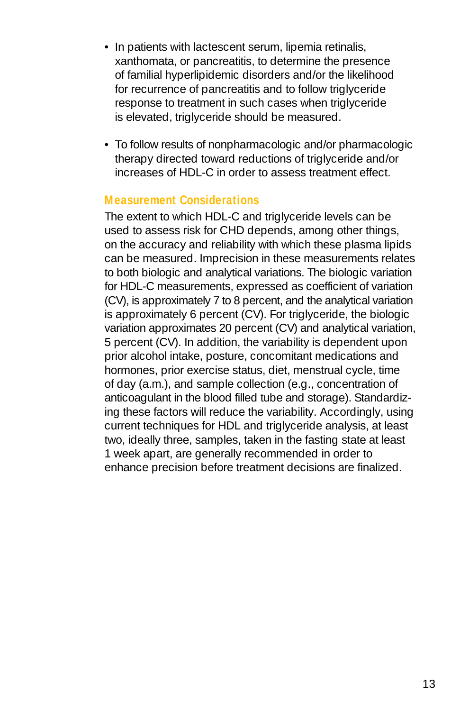- In patients with lactescent serum, lipemia retinalis, xanthomata, or pancreatitis, to determine the presence of familial hyperlipidemic disorders and/or the likelihood for recurrence of pancreatitis and to follow triglyceride response to treatment in such cases when triglyceride is elevated, triglyceride should be measured.
- To follow results of nonpharmacologic and/or pharmacologic therapy directed toward reductions of triglyceride and/or increases of HDL-C in order to assess treatment effect.

### **Measurement Considerations**

The extent to which HDL-C and triglyceride levels can be used to assess risk for CHD depends, among other things, on the accuracy and reliability with which these plasma lipids can be measured. Imprecision in these measurements relates to both biologic and analytical variations. The biologic variation for HDL-C measurements, expressed as coefficient of variation (CV), is approximately 7 to 8 percent, and the analytical variation is approximately 6 percent (CV). For triglyceride, the biologic variation approximates 20 percent (CV) and analytical variation, 5 percent (CV). In addition, the variability is dependent upon prior alcohol intake, posture, concomitant medications and hormones, prior exercise status, diet, menstrual cycle, time of day (a.m.), and sample collection (e.g., concentration of anticoagulant in the blood filled tube and storage). Standardizing these factors will reduce the variability. Accordingly, using current techniques for HDL and triglyceride analysis, at least two, ideally three, samples, taken in the fasting state at least 1 week apart, are generally recommended in order to enhance precision before treatment decisions are finalized.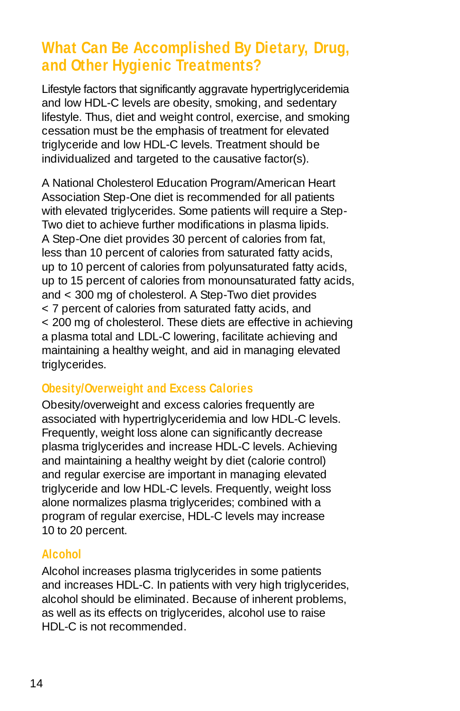# **What Can Be Accomplished By Dietary, Drug, and Other Hygienic Treatments?**

Lifestyle factors that significantly aggravate hypertriglyceridemia and low HDL-C levels are obesity, smoking, and sedentary lifestyle. Thus, diet and weight control, exercise, and smoking cessation must be the emphasis of treatment for elevated triglyceride and low HDL-C levels. Treatment should be individualized and targeted to the causative factor(s).

A National Cholesterol Education Program/American Heart Association Step-One diet is recommended for all patients with elevated triglycerides. Some patients will require a Step-Two diet to achieve further modifications in plasma lipids. A Step-One diet provides 30 percent of calories from fat, less than 10 percent of calories from saturated fatty acids, up to 10 percent of calories from polyunsaturated fatty acids, up to 15 percent of calories from monounsaturated fatty acids, and < 300 mg of cholesterol. A Step-Two diet provides < 7 percent of calories from saturated fatty acids, and < 200 mg of cholesterol. These diets are effective in achieving a plasma total and LDL-C lowering, facilitate achieving and maintaining a healthy weight, and aid in managing elevated triglycerides.

# **Obesity/Overweight and Excess Calories**

Obesity/overweight and excess calories frequently are associated with hypertriglyceridemia and low HDL-C levels. Frequently, weight loss alone can significantly decrease plasma triglycerides and increase HDL-C levels. Achieving and maintaining a healthy weight by diet (calorie control) and regular exercise are important in managing elevated triglyceride and low HDL-C levels. Frequently, weight loss alone normalizes plasma triglycerides; combined with a program of regular exercise, HDL-C levels may increase 10 to 20 percent.

# **Alcohol**

Alcohol increases plasma triglycerides in some patients and increases HDL-C. In patients with very high triglycerides, alcohol should be eliminated. Because of inherent problems, as well as its effects on triglycerides, alcohol use to raise HDL-C is not recommended.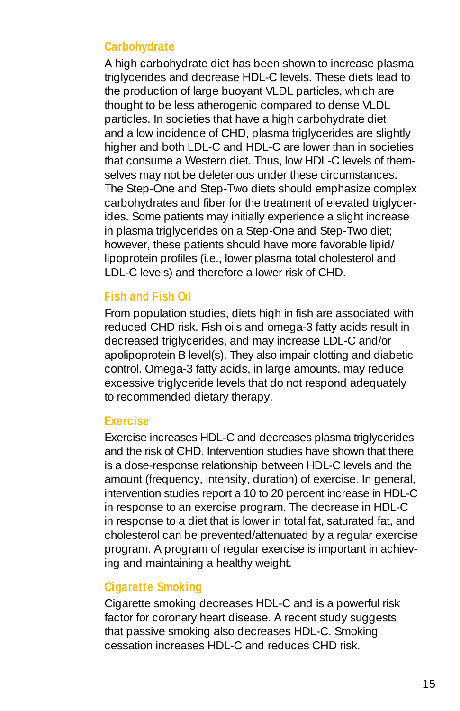# **Carbohydrate**

A high carbohydrate diet has been shown to increase plasma triglycerides and decrease HDL-C levels. These diets lead to the production of large buoyant VLDL particles, which are thought to be less atherogenic compared to dense VLDL particles. In societies that have a high carbohydrate diet and a low incidence of CHD, plasma triglycerides are slightly higher and both LDL-C and HDL-C are lower than in societies that consume a Western diet. Thus, low HDL-C levels of themselves may not be deleterious under these circumstances. The Step-One and Step-Two diets should emphasize complex carbohydrates and fiber for the treatment of elevated triglycerides. Some patients may initially experience a slight increase in plasma triglycerides on a Step-One and Step-Two diet; however, these patients should have more favorable lipid/ lipoprotein profiles (i.e., lower plasma total cholesterol and LDL-C levels) and therefore a lower risk of CHD.

# **Fish and Fish Oil**

From population studies, diets high in fish are associated with reduced CHD risk. Fish oils and omega-3 fatty acids result in decreased triglycerides, and may increase LDL-C and/or apolipoprotein B level(s). They also impair clotting and diabetic control. Omega-3 fatty acids, in large amounts, may reduce excessive triglyceride levels that do not respond adequately to recommended dietary therapy.

# **Exercise**

Exercise increases HDL-C and decreases plasma triglycerides and the risk of CHD. Intervention studies have shown that there is a dose-response relationship between HDL-C levels and the amount (frequency, intensity, duration) of exercise. In general, intervention studies report a 10 to 20 percent increase in HDL-C in response to an exercise program. The decrease in HDL-C in response to a diet that is lower in total fat, saturated fat, and cholesterol can be prevented/attenuated by a regular exercise program. A program of regular exercise is important in achieving and maintaining a healthy weight.

# **Cigarette Smoking**

Cigarette smoking decreases HDL-C and is a powerful risk factor for coronary heart disease. A recent study suggests that passive smoking also decreases HDL-C. Smoking cessation increases HDL-C and reduces CHD risk.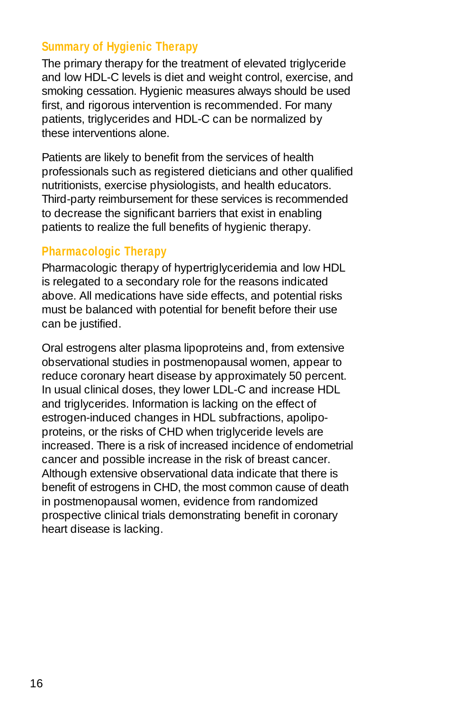# **Summary of Hygienic Therapy**

The primary therapy for the treatment of elevated triglyceride and low HDL-C levels is diet and weight control, exercise, and smoking cessation. Hygienic measures always should be used first, and rigorous intervention is recommended. For many patients, triglycerides and HDL-C can be normalized by these interventions alone.

Patients are likely to benefit from the services of health professionals such as registered dieticians and other qualified nutritionists, exercise physiologists, and health educators. Third-party reimbursement for these services is recommended to decrease the significant barriers that exist in enabling patients to realize the full benefits of hygienic therapy.

### **Pharmacologic Therapy**

Pharmacologic therapy of hypertriglyceridemia and low HDL is relegated to a secondary role for the reasons indicated above. All medications have side effects, and potential risks must be balanced with potential for benefit before their use can be justified.

Oral estrogens alter plasma lipoproteins and, from extensive observational studies in postmenopausal women, appear to reduce coronary heart disease by approximately 50 percent. In usual clinical doses, they lower LDL-C and increase HDL and triglycerides. Information is lacking on the effect of estrogen-induced changes in HDL subfractions, apolipoproteins, or the risks of CHD when triglyceride levels are increased. There is a risk of increased incidence of endometrial cancer and possible increase in the risk of breast cancer. Although extensive observational data indicate that there is benefit of estrogens in CHD, the most common cause of death in postmenopausal women, evidence from randomized prospective clinical trials demonstrating benefit in coronary heart disease is lacking.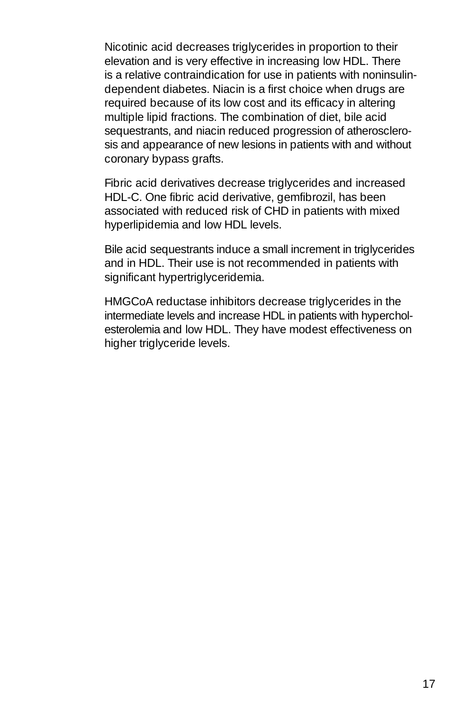Nicotinic acid decreases triglycerides in proportion to their elevation and is very effective in increasing low HDL. There is a relative contraindication for use in patients with noninsulindependent diabetes. Niacin is a first choice when drugs are required because of its low cost and its efficacy in altering multiple lipid fractions. The combination of diet, bile acid sequestrants, and niacin reduced progression of atherosclerosis and appearance of new lesions in patients with and without coronary bypass grafts.

Fibric acid derivatives decrease triglycerides and increased HDL-C. One fibric acid derivative, gemfibrozil, has been associated with reduced risk of CHD in patients with mixed hyperlipidemia and low HDL levels.

Bile acid sequestrants induce a small increment in triglycerides and in HDL. Their use is not recommended in patients with significant hypertriglyceridemia.

HMGCoA reductase inhibitors decrease triglycerides in the intermediate levels and increase HDL in patients with hypercholesterolemia and low HDL. They have modest effectiveness on higher triglyceride levels.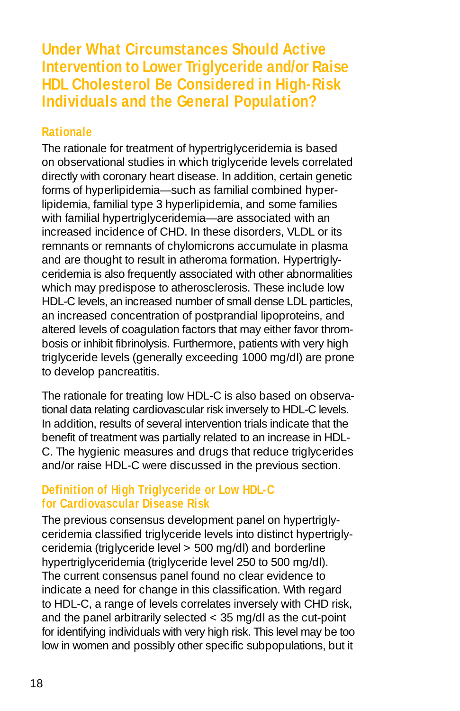# **Under What Circumstances Should Active Intervention to Lower Triglyceride and/or Raise HDL Cholesterol Be Considered in High-Risk Individuals and the General Population?**

# **Rationale**

The rationale for treatment of hypertriglyceridemia is based on observational studies in which triglyceride levels correlated directly with coronary heart disease. In addition, certain genetic forms of hyperlipidemia—such as familial combined hyperlipidemia, familial type 3 hyperlipidemia, and some families with familial hypertriglyceridemia—are associated with an increased incidence of CHD. In these disorders, VLDL or its remnants or remnants of chylomicrons accumulate in plasma and are thought to result in atheroma formation. Hypertriglyceridemia is also frequently associated with other abnormalities which may predispose to atherosclerosis. These include low HDL-C levels, an increased number of small dense LDL particles, an increased concentration of postprandial lipoproteins, and altered levels of coagulation factors that may either favor thrombosis or inhibit fibrinolysis. Furthermore, patients with very high triglyceride levels (generally exceeding 1000 mg/dl) are prone to develop pancreatitis.

The rationale for treating low HDL-C is also based on observational data relating cardiovascular risk inversely to HDL-C levels. In addition, results of several intervention trials indicate that the benefit of treatment was partially related to an increase in HDL-C. The hygienic measures and drugs that reduce triglycerides and/or raise HDL-C were discussed in the previous section.

# **Definition of High Triglyceride or Low HDL-C for Cardiovascular Disease Risk**

The previous consensus development panel on hypertriglyceridemia classified triglyceride levels into distinct hypertriglyceridemia (triglyceride level > 500 mg/dl) and borderline hypertriglyceridemia (triglyceride level 250 to 500 mg/dl). The current consensus panel found no clear evidence to indicate a need for change in this classification. With regard to HDL-C, a range of levels correlates inversely with CHD risk, and the panel arbitrarily selected < 35 mg/dl as the cut-point for identifying individuals with very high risk. This level may be too low in women and possibly other specific subpopulations, but it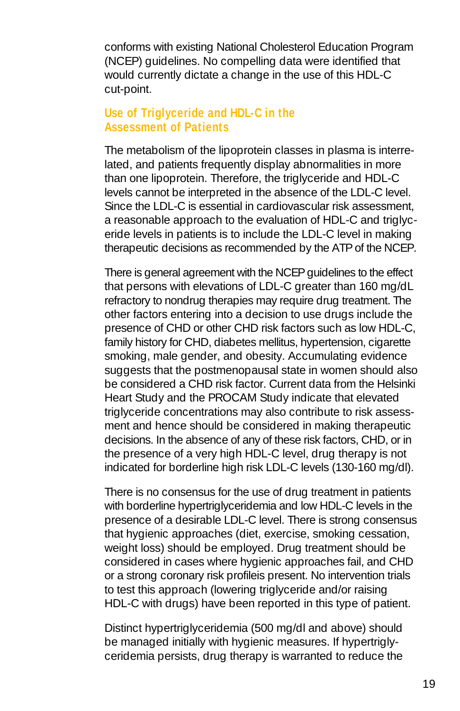conforms with existing National Cholesterol Education Program (NCEP) guidelines. No compelling data were identified that would currently dictate a change in the use of this HDL-C cut-point.

### **Use of Triglyceride and HDL-C in the Assessment of Patients**

The metabolism of the lipoprotein classes in plasma is interrelated, and patients frequently display abnormalities in more than one lipoprotein. Therefore, the triglyceride and HDL-C levels cannot be interpreted in the absence of the LDL-C level. Since the LDL-C is essential in cardiovascular risk assessment, a reasonable approach to the evaluation of HDL-C and triglyceride levels in patients is to include the LDL-C level in making therapeutic decisions as recommended by the ATP of the NCEP.

There is general agreement with the NCEP guidelines to the effect that persons with elevations of LDL-C greater than 160 mg/dL refractory to nondrug therapies may require drug treatment. The other factors entering into a decision to use drugs include the presence of CHD or other CHD risk factors such as low HDL-C, family history for CHD, diabetes mellitus, hypertension, cigarette smoking, male gender, and obesity. Accumulating evidence suggests that the postmenopausal state in women should also be considered a CHD risk factor. Current data from the Helsinki Heart Study and the PROCAM Study indicate that elevated triglyceride concentrations may also contribute to risk assessment and hence should be considered in making therapeutic decisions. In the absence of any of these risk factors, CHD, or in the presence of a very high HDL-C level, drug therapy is not indicated for borderline high risk LDL-C levels (130-160 mg/dl).

There is no consensus for the use of drug treatment in patients with borderline hypertriglyceridemia and low HDL-C levels in the presence of a desirable LDL-C level. There is strong consensus that hygienic approaches (diet, exercise, smoking cessation, weight loss) should be employed. Drug treatment should be considered in cases where hygienic approaches fail, and CHD or a strong coronary risk profileis present. No intervention trials to test this approach (lowering triglyceride and/or raising HDL-C with drugs) have been reported in this type of patient.

Distinct hypertriglyceridemia (500 mg/dl and above) should be managed initially with hygienic measures. If hypertriglyceridemia persists, drug therapy is warranted to reduce the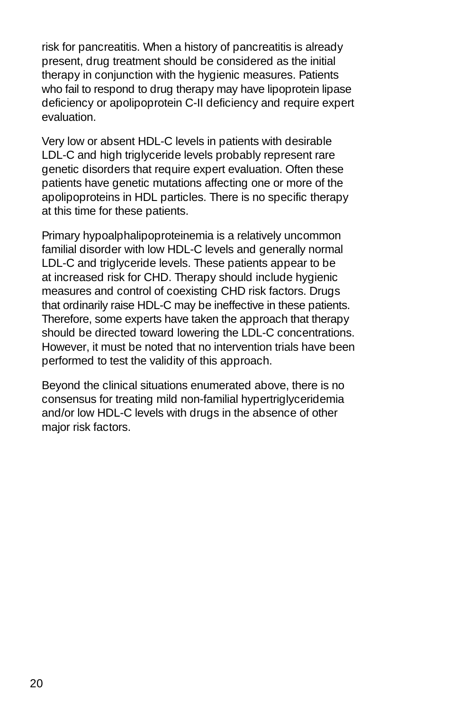risk for pancreatitis. When a history of pancreatitis is already present, drug treatment should be considered as the initial therapy in conjunction with the hygienic measures. Patients who fail to respond to drug therapy may have lipoprotein lipase deficiency or apolipoprotein C-II deficiency and require expert evaluation.

Very low or absent HDL-C levels in patients with desirable LDL-C and high triglyceride levels probably represent rare genetic disorders that require expert evaluation. Often these patients have genetic mutations affecting one or more of the apolipoproteins in HDL particles. There is no specific therapy at this time for these patients.

Primary hypoalphalipoproteinemia is a relatively uncommon familial disorder with low HDL-C levels and generally normal LDL-C and triglyceride levels. These patients appear to be at increased risk for CHD. Therapy should include hygienic measures and control of coexisting CHD risk factors. Drugs that ordinarily raise HDL-C may be ineffective in these patients. Therefore, some experts have taken the approach that therapy should be directed toward lowering the LDL-C concentrations. However, it must be noted that no intervention trials have been performed to test the validity of this approach.

Beyond the clinical situations enumerated above, there is no consensus for treating mild non-familial hypertriglyceridemia and/or low HDL-C levels with drugs in the absence of other major risk factors.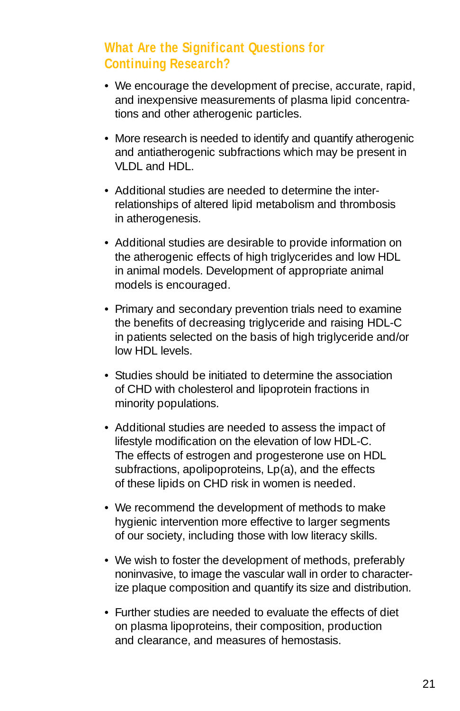# **What Are the Significant Questions for Continuing Research?**

- We encourage the development of precise, accurate, rapid, and inexpensive measurements of plasma lipid concentrations and other atherogenic particles.
- More research is needed to identify and quantify atherogenic and antiatherogenic subfractions which may be present in VLDL and HDL
- Additional studies are needed to determine the interrelationships of altered lipid metabolism and thrombosis in atherogenesis.
- Additional studies are desirable to provide information on the atherogenic effects of high triglycerides and low HDL in animal models. Development of appropriate animal models is encouraged.
- Primary and secondary prevention trials need to examine the benefits of decreasing triglyceride and raising HDL-C in patients selected on the basis of high triglyceride and/or low HDL levels.
- Studies should be initiated to determine the association of CHD with cholesterol and lipoprotein fractions in minority populations.
- Additional studies are needed to assess the impact of lifestyle modification on the elevation of low HDL-C. The effects of estrogen and progesterone use on HDL subfractions, apolipoproteins, Lp(a), and the effects of these lipids on CHD risk in women is needed.
- We recommend the development of methods to make hygienic intervention more effective to larger segments of our society, including those with low literacy skills.
- We wish to foster the development of methods, preferably noninvasive, to image the vascular wall in order to characterize plaque composition and quantify its size and distribution.
- Further studies are needed to evaluate the effects of diet on plasma lipoproteins, their composition, production and clearance, and measures of hemostasis.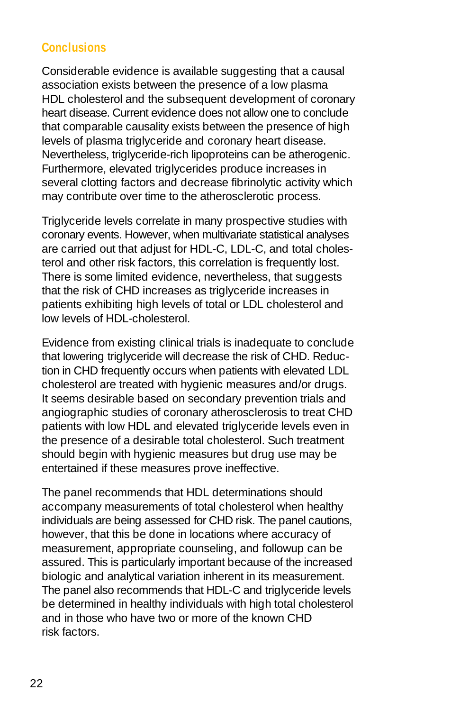# **Conclusions**

Considerable evidence is available suggesting that a causal association exists between the presence of a low plasma HDL cholesterol and the subsequent development of coronary heart disease. Current evidence does not allow one to conclude that comparable causality exists between the presence of high levels of plasma triglyceride and coronary heart disease. Nevertheless, triglyceride-rich lipoproteins can be atherogenic. Furthermore, elevated triglycerides produce increases in several clotting factors and decrease fibrinolytic activity which may contribute over time to the atherosclerotic process.

Triglyceride levels correlate in many prospective studies with coronary events. However, when multivariate statistical analyses are carried out that adjust for HDL-C, LDL-C, and total cholesterol and other risk factors, this correlation is frequently lost. There is some limited evidence, nevertheless, that suggests that the risk of CHD increases as triglyceride increases in patients exhibiting high levels of total or LDL cholesterol and low levels of HDL-cholesterol.

Evidence from existing clinical trials is inadequate to conclude that lowering triglyceride will decrease the risk of CHD. Reduction in CHD frequently occurs when patients with elevated LDL cholesterol are treated with hygienic measures and/or drugs. It seems desirable based on secondary prevention trials and angiographic studies of coronary atherosclerosis to treat CHD patients with low HDL and elevated triglyceride levels even in the presence of a desirable total cholesterol. Such treatment should begin with hygienic measures but drug use may be entertained if these measures prove ineffective.

The panel recommends that HDL determinations should accompany measurements of total cholesterol when healthy individuals are being assessed for CHD risk. The panel cautions, however, that this be done in locations where accuracy of measurement, appropriate counseling, and followup can be assured. This is particularly important because of the increased biologic and analytical variation inherent in its measurement. The panel also recommends that HDL-C and triglyceride levels be determined in healthy individuals with high total cholesterol and in those who have two or more of the known CHD risk factors.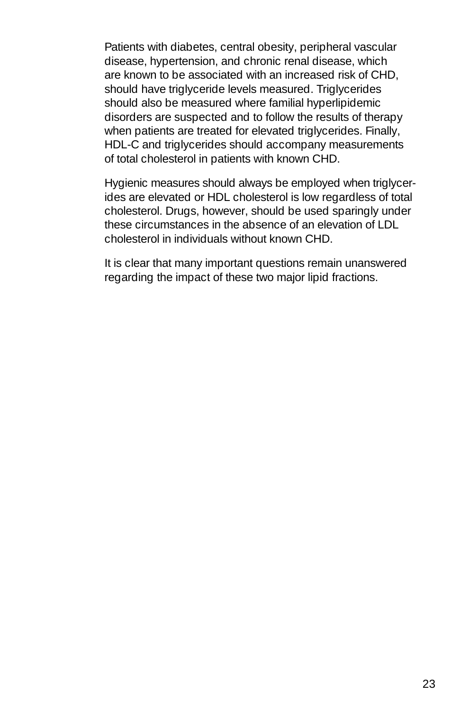Patients with diabetes, central obesity, peripheral vascular disease, hypertension, and chronic renal disease, which are known to be associated with an increased risk of CHD, should have triglyceride levels measured. Triglycerides should also be measured where familial hyperlipidemic disorders are suspected and to follow the results of therapy when patients are treated for elevated triglycerides. Finally, HDL-C and triglycerides should accompany measurements of total cholesterol in patients with known CHD.

Hygienic measures should always be employed when triglycerides are elevated or HDL cholesterol is low regardless of total cholesterol. Drugs, however, should be used sparingly under these circumstances in the absence of an elevation of LDL cholesterol in individuals without known CHD.

It is clear that many important questions remain unanswered regarding the impact of these two major lipid fractions.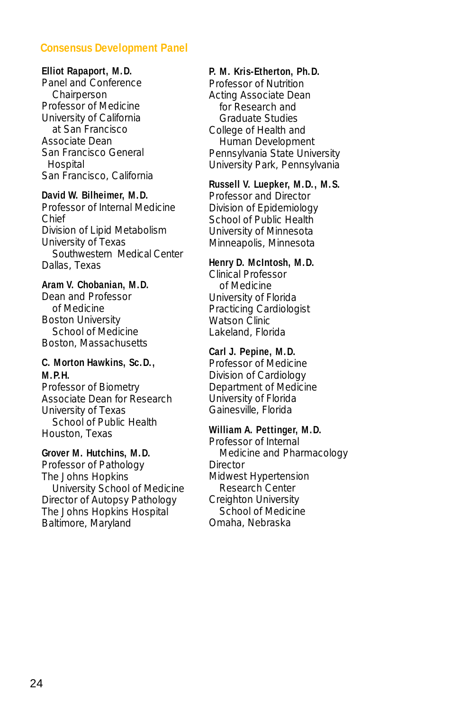#### **Consensus Development Panel**

#### **Elliot Rapaport, M.D.**

Panel and Conference **Chairperson** *Professor of Medicine*  University of California at San Francisco *Associate Dean*  San Francisco General Hospital San Francisco, California

#### **David W. Bilheimer, M.D.**

*Professor of Internal Medicine Chief*  Division of Lipid Metabolism University of Texas Southwestern Medical Center Dallas, Texas

#### **Aram V. Chobanian, M.D.**

*Dean and Professor of Medicine*  Boston University School of Medicine Boston, Massachusetts

#### **C. Morton Hawkins, Sc.D., M.P.H.**

*Professor of Biometry Associate Dean for Research*  University of Texas School of Public Health Houston, Texas

#### **Grover M. Hutchins, M.D.**

*Professor of Pathology*  The Johns Hopkins University School of Medicine *Director of Autopsy Pathology*  The Johns Hopkins Hospital Baltimore, Maryland

#### **P. M. Kris-Etherton, Ph.D.**

*Professor of Nutrition Acting Associate Dean for Research and Graduate Studies*  College of Health and Human Development Pennsylvania State University University Park, Pennsylvania

#### **Russell V. Luepker, M.D., M.S.**

*Professor and Director*  Division of Epidemiology School of Public Health University of Minnesota Minneapolis, Minnesota

#### **Henry D. McIntosh, M.D.**

*Clinical Professor of Medicine*  University of Florida *Practicing Cardiologist*  Watson Clinic Lakeland, Florida

#### **Carl J. Pepine, M.D.**

*Professor of Medicine*  Division of Cardiology Department of Medicine University of Florida Gainesville, Florida

#### **William A. Pettinger, M.D.**

*Professor of Internal Medicine and Pharmacology Director*  Midwest Hypertension Research Center Creighton University School of Medicine Omaha, Nebraska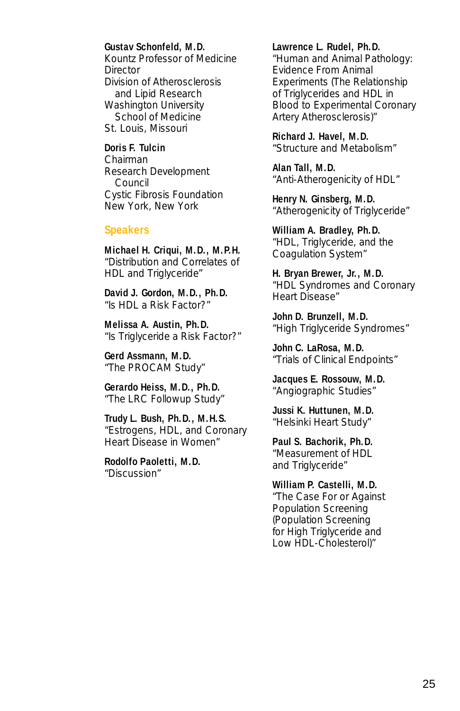**Gustav Schonfeld, M.D.** 

*Kountz Professor of Medicine Director*  Division of Atherosclerosis and Lipid Research Washington University School of Medicine St. Louis, Missouri

#### **Doris F. Tulcin**

*Chairman*  Research Development Council Cystic Fibrosis Foundation New York, New York

#### **Speakers**

**Michael H. Criqui, M.D., M.P.H.**  "Distribution and Correlates of HDL and Triglyceride"

**David J. Gordon, M.D., Ph.D.**  "Is HDL a Risk Factor?"

**Melissa A. Austin, Ph.D.**  "Is Triglyceride a Risk Factor?"

**Gerd Assmann, M.D.**  "The PROCAM Study"

**Gerardo Heiss, M.D., Ph.D.**  "The LRC Followup Study"

**Trudy L. Bush, Ph.D., M.H.S.**  "Estrogens, HDL, and Coronary Heart Disease in Women"

**Rodolfo Paoletti, M.D.**  "Discussion"

**Lawrence L. Rudel, Ph.D.**  "Human and Animal Pathology:

Evidence From Animal Experiments (The Relationship of Triglycerides and HDL in Blood to Experimental Coronary Artery Atherosclerosis)"

**Richard J. Havel, M.D.**  "Structure and Metabolism"

**Alan Tall, M.D.**  "Anti-Atherogenicity of HDL"

**Henry N. Ginsberg, M.D.**  "Atherogenicity of Triglyceride"

**William A. Bradley, Ph.D.**  "HDL, Triglyceride, and the Coagulation System"

**H. Bryan Brewer, Jr., M.D.**  "HDL Syndromes and Coronary Heart Disease"

**John D. Brunzell, M.D.**  "High Triglyceride Syndromes"

**John C. LaRosa, M.D.**  "Trials of Clinical Endpoints"

**Jacques E. Rossouw, M.D.**  "Angiographic Studies"

**Jussi K. Huttunen, M.D.**  "Helsinki Heart Study"

**Paul S. Bachorik, Ph.D.**  "Measurement of HDL and Triglyceride"

**William P. Castelli, M.D.**  "The Case For or Against Population Screening (Population Screening for High Triglyceride and Low HDL-Cholesterol)"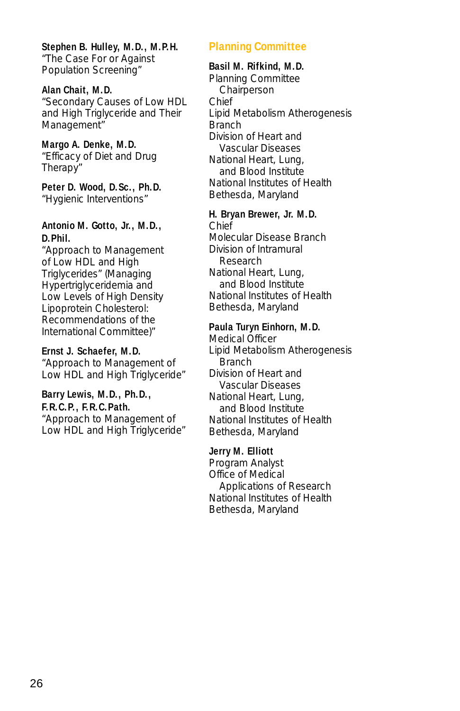**Stephen B. Hulley, M.D., M.P.H.**  "The Case For or Against Population Screening"

#### **Alan Chait, M.D.**  "Secondary Causes of Low HDL and High Triglyceride and Their Management"

**Margo A. Denke, M.D.**  "Efficacy of Diet and Drug Therapy"

**Peter D. Wood, D.Sc., Ph.D.**  "Hygienic Interventions"

#### **Antonio M. Gotto, Jr., M.D., D.Phil.**

"Approach to Management of Low HDL and High Triglycerides" (Managing Hypertriglyceridemia and Low Levels of High Density Lipoprotein Cholesterol: Recommendations of the International Committee)"

### **Ernst J. Schaefer, M.D.**

"Approach to Management of Low HDL and High Triglyceride"

#### **Barry Lewis, M.D., Ph.D., F.R.C.P., F.R.C.Path.**

"Approach to Management of Low HDL and High Triglyceride"

# **Planning Committee**

#### **Basil M. Rifkind, M.D.**

Planning Committee **Chairperson** *Chief*  Lipid Metabolism Atherogenesis Branch Division of Heart and Vascular Diseases National Heart, Lung, and Blood Institute National Institutes of Health Bethesda, Maryland

#### **H. Bryan Brewer, Jr. M.D.**

*Chief*  Molecular Disease Branch Division of Intramural Research National Heart, Lung, and Blood Institute National Institutes of Health Bethesda, Maryland

### **Paula Turyn Einhorn, M.D.**

*Medical Officer*  Lipid Metabolism Atherogenesis Branch Division of Heart and Vascular Diseases National Heart, Lung, and Blood Institute National Institutes of Health Bethesda, Maryland

#### **Jerry M. Elliott**

*Program Analyst*  Office of Medical Applications of Research National Institutes of Health Bethesda, Maryland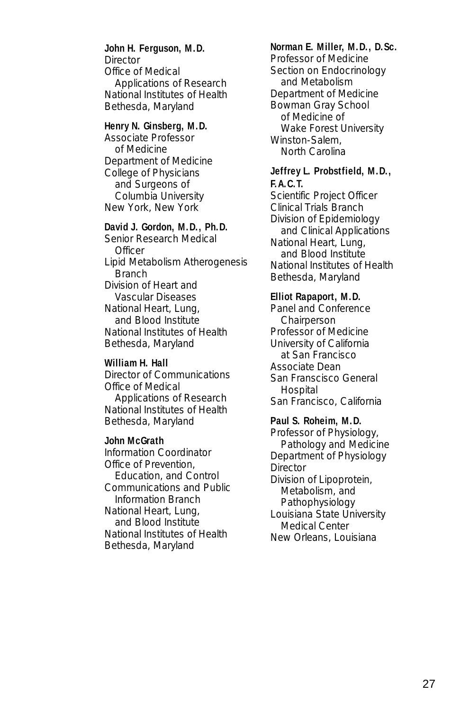#### **John H. Ferguson, M.D.**

*Director*  Office of Medical Applications of Research National Institutes of Health Bethesda, Maryland

#### **Henry N. Ginsberg, M.D.**

*Associate Professor of Medicine*  Department of Medicine College of Physicians and Surgeons of Columbia University New York, New York

#### **David J. Gordon, M.D., Ph.D.**

*Senior Research Medical Officer*  Lipid Metabolism Atherogenesis **Branch** Division of Heart and Vascular Diseases National Heart, Lung, and Blood Institute National Institutes of Health Bethesda, Maryland

#### **William H. Hall**

*Director of Communications*  Office of Medical Applications of Research National Institutes of Health Bethesda, Maryland

#### **John McGrath**

*Information Coordinator*  Office of Prevention, Education, and Control Communications and Public Information Branch National Heart, Lung, and Blood Institute National Institutes of Health Bethesda, Maryland

#### **Norman E. Miller, M.D., D.Sc.**

*Professor of Medicine*  Section on Endocrinology and Metabolism Department of Medicine Bowman Gray School of Medicine of Wake Forest University Winston-Salem, North Carolina

#### **Jeffrey L. Probstfield, M.D., F.A.C.T.**

*Scientific Project Officer*  Clinical Trials Branch Division of Epidemiology and Clinical Applications National Heart, Lung, and Blood Institute National Institutes of Health Bethesda, Maryland

#### **Elliot Rapaport, M.D.**

Panel and Conference **Chairperson** *Professor of Medicine*  University of California at San Francisco *Associate Dean*  San Franscisco General Hospital San Francisco, California

#### **Paul S. Roheim, M.D.**

*Professor of Physiology, Pathology and Medicine*  Department of Physiology *Director*  Division of Lipoprotein, Metabolism, and Pathophysiology Louisiana State University Medical Center New Orleans, Louisiana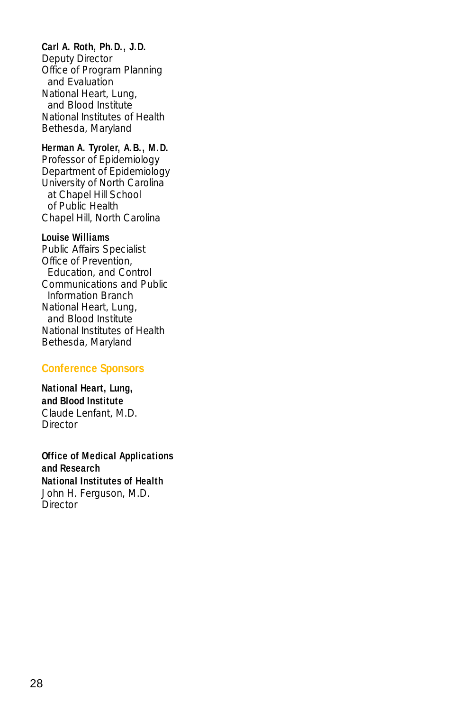#### **Carl A. Roth, Ph.D., J.D.**

*Deputy Director*  Office of Program Planning and Evaluation National Heart, Lung, and Blood Institute National Institutes of Health Bethesda, Maryland

#### **Herman A. Tyroler, A.B., M.D.**

*Professor of Epidemiology*  Department of Epidemiology University of North Carolina at Chapel Hill School of Public Health Chapel Hill, North Carolina

#### **Louise Williams**

*Public Affairs Specialist*  Office of Prevention, Education, and Control Communications and Public Information Branch National Heart, Lung, and Blood Institute National Institutes of Health Bethesda, Maryland

### **Conference Sponsors**

**National Heart, Lung, and Blood Institute**  Claude Lenfant, M.D. *Director* 

**Office of Medical Applications and Research National Institutes of Health**  John H. Ferguson, M.D. *Director*